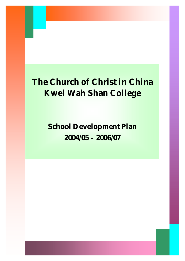**School Development Plan 2004/05 – 2006/07**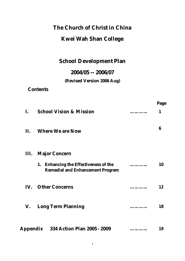# **The Church of Christ in China**

## **Kwei Wah Shan College**

## **School Development Plan**

## **2004/05 -- 2006/07**

## **(Revised Version 2006 Aug)**

**Contents**

|            |                                                                                            |   | Page |
|------------|--------------------------------------------------------------------------------------------|---|------|
| L.         | <b>School Vision &amp; Mission</b>                                                         |   | 1    |
| <b>II.</b> | <b>Where We are Now</b>                                                                    |   | 6    |
| Ш.         | <b>Major Concern</b>                                                                       |   |      |
|            | <b>Enhancing the Effectiveness of the</b><br>1.<br><b>Remedial and Enhancement Program</b> |   | 10   |
|            | <b>IV.</b> Other Concerns                                                                  | . | 12   |
| V.         | <b>Long Term Planning</b>                                                                  |   | 18   |
|            | Appendix 334 Action Plan 2005 - 2009                                                       |   | 19   |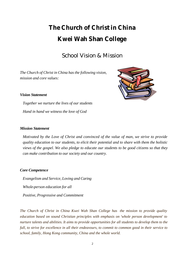## School Vision & Mission

*The Church of Christ in China has the following vision, mission and core values:*



#### *Vision Statement*

*Together we nurture the lives of our students Hand in hand we witness the love of God*

#### *Mission Statement*

*Motivated by the Love of Christ and convinced of the value of man, we strive to provide quality education to our students, to elicit their potential and to share with them the holistic views of the gospel. We also pledge to educate our students to be good citizens so that they can make contribution to our society and our country.*

#### *Core Competence*

*Evangelism and Service, Loving and Caring Whole-person education for all Positive, Progressive and Commitment*

*The Church of Christ in China Kwei Wah Shan College has the mission to provide quality education based on sound Christian principles with emphasis on 'whole person development' to nurture talents and abilities. It aims to provide opportunities for all students to develop them to the full, to strive for excellence in all their endeavours, to commit to common good in their service to school, family, Hong Kong community, China and the whole world.*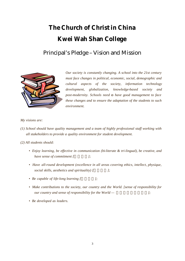## Principal's Pledge – Vision and Mission



*Our society is constantly changing. A school into the 21st century must face changes in political, economic, social, demographic and cultural aspects of the society, information technology development, globalization, knowledge-based society and post-modernity. Schools need to have good management to face these changes and to ensure the adaptation of the students to such environment.* 

#### *My visions are:*

*(1) School should have quality management and a team of highly professional staff working with all stakeholders to provide a quality environment for student development.* 

*(2) All students should:* 

- *Enjoy learning, be effective in communication (bi-literate & tri-lingual), be creative, and have sense of commitment [*  $|$ ;
- *Have all-round development (excellence in all areas covering ethics, intellect, physique, social skills, aesthetics and spirituality*) [ $\qquad$
- Be capable of life-long learning [ $\qquad$ ];
- *Make contributions to the society, our country and the World. [sense of responsibility for our country and sense of responsibility for the World —*  $\vert$ ;
- *Be developed as leaders.*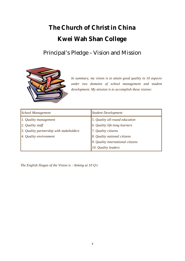## Principal's Pledge – Vision and Mission



*In summary, my vision is to attain good quality in 10 aspects under two domains of school management and student development. My mission is to accomplish these visions:* 

| <b>School Management</b>                 | <b>Student Development</b>        |  |  |
|------------------------------------------|-----------------------------------|--|--|
| $\vert$ 1. Quality management            | 5. Quality all-round education    |  |  |
| $\vert$ 2. Quality staff                 | 6. Quality life-long learners     |  |  |
| 3. Quality partnership with stakeholders | 7. Quality citizens               |  |  |
| 4. Quality environment                   | 8. Quality national citizens      |  |  |
|                                          | 9. Quality international citizens |  |  |
|                                          | 10. Quality leaders               |  |  |

*The English Slogan of the Vision is : Aiming at 10 Q's*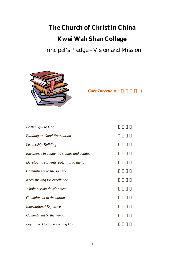Principal's Pledge – Vision and Mission



 $Core$  *Directions (* )

**Be thankful to God**  $Building up Good Foundation$  ? **Leadership Building** *Excellence in academic studies and conduct Developing students' potential to the full Commitment to the society Keep striving for excellence Whole person development Commitment to the nation International Exposure Commitment to the world* Loyalty to God and serving God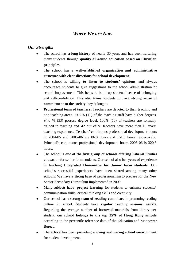#### *Where We are Now*

#### *Our Strengths*

- The school has **a long history** of nearly 30 years and has been nurturing many students through **quality all-round education based on Christian principles**.
- <sup>l</sup> The school has a well-established **organization and administrative structure with clear directions for school development**.
- **.** The school is **willing to listen to students' opinions** and always encourages students to give suggestions to the school administration for school improvement. This helps to build up students' sense of belonging and self-confidence. This also trains students to have **strong sense of commitment to the society** they belong to.
- **Professional team of teachers**: Teachers are devoted to their teaching and non-teaching areas. 19.6 % (11) of the teaching staff have higher degrees. 94.6 % (53) possess degree level. 100% (56) of teachers are formally trained in teaching and 42 out of 56 teachers have more than 10 years' teaching experience. Teachers' continuous professional development hours in 2004-05 and 2005-06 are 86.8 hours and 151.3 hours respectively. Principal's continuous professional development hours 2005-06 is 320.5 hours.
- <sup>l</sup> The school is **one of the first group of schools offering Liberal Studies education** for senior form students. Our school also has years of experience in teaching **Integrated Humanities for Junior form students**. Our school's successful experiences have been shared among many other schools. We have a strong base of professionalism to prepare for the New Senior Secondary Curriculum implemented in 2009.
- Many subjects have **project learning** for students to enhance students' communication skills, critical thinking skills and creativity.
- Our school has a **strong team of reading committee** in promoting reading culture in school. Students have **regular reading sessions** weekly. Regarding the average number of borrowed materials from library per student, our school **belongs to the top 25% of Hong Kong schools** according to the percentile reference data of the Education and Manpower Bureau.
- The school has been providing a **loving and caring school environment** for student development.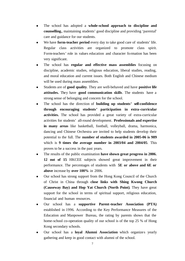- <sup>l</sup> The school has adopted a **whole-school approach to discipline and counselling,** maintaining students' good discipline and providing 'parental' care and guidance for our students.
- We have **form-teacher period** every day to take good care of students' life. Regular class activities are organized to promote class spirit. Form-teachers' role in values education and character formation has been very significant.
- <sup>l</sup> The school has **regular and effective mass assemblies** focusing on discipline, academic studies, religious education, liberal studies, reading, and moral education and current issues. Both English and Chinese medium will be used during mass assemblies.
- <sup>l</sup> Students are of **good quality**. They are well-behaved and have **positive life attitudes.** They have **good communication skills**. The students have a strong sense of belonging and concern for the school.
- <sup>l</sup> The school has the direction of **building up students' self-confidence through encouraging students' participation in extra-curricular activities.** The school has provided a great variety of extra-curricular activities for students' all-round development. **Professionals and expertise in many areas** like basketball, football, volleyball, drama, harmonica, dancing and Chinese Orchestra are invited to help students develop their potential to the full. The **number of students awarded in 2005-06 is 989** which is **9 times the average number in 2003/04 and 2004/05**. This proves to be a success in the past years.
- The results of the public examination have shown great progress in 2006. **12 out of 15** HKCEE subjects showed great improvement in their performance. The percentages of students with **5E or above and 6E or above** increase by **over 100%** in 2006.
- Our school has strong support from the Hong Kong Council of the Church of Christ in China through **close links with Shing Kwong Church (Causeway Bay) and Hop Yat Church (North Point)**. They have great support for the school in terms of spiritual support, religious education, financial and human resources.
- <sup>l</sup> Our school has a **supportive Parent-teacher Association (PTA)** established in 1996. According to the Key Performance Measures of the Education and Manpower Bureau, the rating by parents shows that the home-school co-operation quality of our school is of the top 25 % of Hong Kong secondary schools.
- Our school has a **loyal Alumni Association** which organizes yearly gathering and keep in good contact with alumni of the school.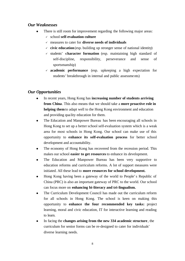#### *Our Weaknesses*

- There is still room for improvement regarding the following major areas:
	- ¸ school **self-evaluation culture**
	- ¸ measures to cater for **diverse needs of individuals**
	- $\checkmark$  **civic education** (esp. building up stronger sense of national identity)
	- $\checkmark$  students' **character formation** (esp. maintaining high standard of self-discipline, responsibility, perseverance and sense of sportsmanship)
	- ¸ **academic performance** (esp. upkeeping a high expectation for students' breakthrough in internal and public assessments)

#### *Our Opportunities*

- In recent years, Hong Kong has **increasing number of students arriving from China**. This also means that we should take a **more proactive role in helping them** to adapt well to the Hong Kong environment and education and providing qua lity education for them.
- The Education and Manpower Bureau has been encouraging all schools in Hong Kong to set up a better school self-evaluation system which is a weak area for most schools in Hong Kong. Our school can make use of this opportunity to **enhance its self-evaluation process** for better school development and accountability.
- The economy of Hong Kong has recovered from the recession period. This makes our school **easier to get resources** to enhance its development.
- The Education and Manpower Bureau has been very supportive to education reforms and curriculum reforms. A lot of support measures were initiated. All these lead to **more resources for school development.**
- Hong Kong having been a gateway of the world to People's Republic of China (PRC) is also an important gateway of PRC to the world. Our school can focus more on **enhancing bi-literacy and tri-lingualism.**
- The Curriculum Development Council has made out the curriculum reform for all schools in Hong Kong. The school is keen on making this opportunity to **enhance the four recommended key tasks:** project learning, moral and civic education, IT for interactive learning and reading to learn.
- **In facing the changes arising from the new 334 academic structure**, the curriculum for senior forms can be re-designed to cater for individuals' diverse learning needs.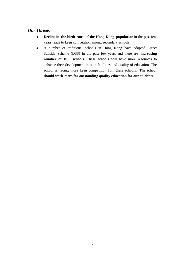#### *Our Threats*

- **•** Decline in the birth rates of the Hong Kong population in the past few years leads to keen competition among secondary schools.
- A number of traditional schools in Hong Kong have adopted Direct Subsidy Scheme (DSS) in the past few years and there are **increasing number of DSS schools.** These schools will have more resources to enhance their development in both facilities and quality of education. The school is facing more keen competition fom these schools. The school **should work more for outstanding quality education for our students.**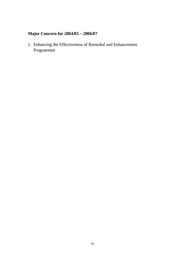## **Major Concern for 2004/05 – 2006/07**

1. Enhancing the Effectiveness of Remedial and Enhancement Programmes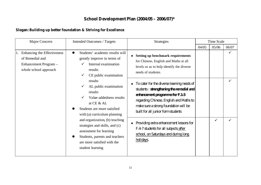### **School Development Plan (2004/05 – 2006/07)\***

#### **Slogan: Building up better foundation & Striving for Excellence**

| Major Concern                                                                                       | <b>Intended Outcomes / Targets</b>                                                                                                                                                                                                                                                                                                      | <b>Strategies</b>                                                                                                                                                                                                                                           | Time Scale |              |              |
|-----------------------------------------------------------------------------------------------------|-----------------------------------------------------------------------------------------------------------------------------------------------------------------------------------------------------------------------------------------------------------------------------------------------------------------------------------------|-------------------------------------------------------------------------------------------------------------------------------------------------------------------------------------------------------------------------------------------------------------|------------|--------------|--------------|
|                                                                                                     |                                                                                                                                                                                                                                                                                                                                         |                                                                                                                                                                                                                                                             | 04/05      | 05/06        | 06/07        |
| 1. Enhancing the Effectiveness<br>of Remedial and<br>Enhancement Program -<br>whole school approach | Students' academic results will<br><b>Setting up benchmark requirements</b><br>greatly improve in terms of<br>for Chinese, English and Maths at all<br>Internal examination<br>levels so as to help identify the diverse<br>results<br>needs of students.<br>CE public examination                                                      |                                                                                                                                                                                                                                                             |            |              | $\checkmark$ |
|                                                                                                     | results<br>AL public examination<br>results<br>Value-addedness results<br>at CE & AL<br>Students are more satisfied<br>with (a) curriculum planning<br>and organization, (b) teaching<br>strategies and skills, and (c)<br>assessment for learning<br>Students, parents and teachers<br>are more satisfied with the<br>student learning | To cater for the diverse learning needs of<br>$\bullet$<br>students: strengthering the remedial and<br>erharrentprogramefor F.1-3<br>regarding Chinese, English and Maths to<br>make sure a strong foundation will be<br>built for all junior form students |            |              |              |
|                                                                                                     |                                                                                                                                                                                                                                                                                                                                         | Providing extra enhancement lessons for<br>$\bullet$<br>F.47 students for all subjects after<br>school, on Saturdays and during long<br>holidays                                                                                                            |            | $\checkmark$ |              |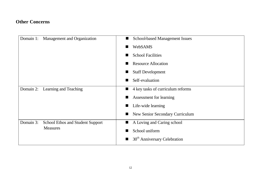### **Other Concerns**

| Domain 1: | Management and Organization                                | $\blacksquare$ | <b>School-based Management Issues</b>    |                         |
|-----------|------------------------------------------------------------|----------------|------------------------------------------|-------------------------|
|           |                                                            |                | <b>WebSAMS</b>                           |                         |
|           |                                                            |                | <b>School Facilities</b>                 |                         |
|           |                                                            |                | <b>Resource Allocation</b>               |                         |
|           |                                                            |                | <b>Staff Development</b>                 |                         |
|           |                                                            |                | Self-evaluation                          |                         |
| Domain 2: | Learning and Teaching                                      | ш              | 4 key tasks of curriculum reforms        |                         |
|           |                                                            |                |                                          | Assessment for learning |
|           |                                                            |                | Life-wide learning                       |                         |
|           |                                                            |                | New Senior Secondary Curriculum          |                         |
| Domain 3: | <b>School Ethos and Student Support</b><br><b>Measures</b> | ш              | A Loving and Caring school               |                         |
|           |                                                            |                | School uniform                           |                         |
|           |                                                            |                | 30 <sup>th</sup> Anniversary Celebration |                         |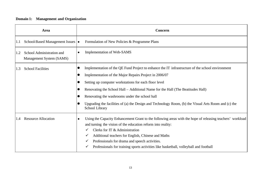### **Domain 1: Management and Organization**

|     | Area                                                  | Concern                                                                                                                                                                                                                                                                                                                                                                                                                                                                                              |
|-----|-------------------------------------------------------|------------------------------------------------------------------------------------------------------------------------------------------------------------------------------------------------------------------------------------------------------------------------------------------------------------------------------------------------------------------------------------------------------------------------------------------------------------------------------------------------------|
| 1.1 | School-Based Management Issues   •                    | Formulation of New Policies & Programme Plans                                                                                                                                                                                                                                                                                                                                                                                                                                                        |
|     | School Administration and<br>Management System (SAMS) | Implementation of Web-SAMS<br>$\bullet$                                                                                                                                                                                                                                                                                                                                                                                                                                                              |
| 1.3 | <b>School Facilities</b>                              | Implementation of the QE Fund Project to enhance the IT infrastructure of the school environment<br>$\bullet$<br>Implementation of the Major Repairs Project in 2006/07<br>O<br>Setting up computer workstations for each floor level<br>Renovating the School Hall – Additional Name for the Hall (The Beatitudes Hall)<br>Renovating the washrooms under the school hall<br>Upgrading the facilities of (a) the Design and Technology Room, (b) the Visual Arts Room and (c) the<br>School Library |
|     | <b>Resource Allocation</b>                            | Using the Capacity Enhancement Grant to the following areas with the hope of releasing teachers' workload<br>$\bullet$<br>and turning the vision of the education reform into reality:<br>Clerks for IT & Administration<br>✓<br>Additional teachers for English, Chinese and Maths<br>✓<br>Professionals for drama and speech activities.<br>✓<br>Professionals for training sports activities like basketball, volleyball and football                                                             |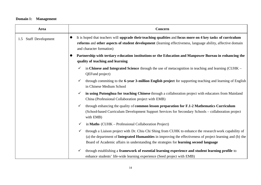### **Domain 1: Management**

| Area                            | Concern                                                                                                                                                                                                                                                                                                        |  |  |  |
|---------------------------------|----------------------------------------------------------------------------------------------------------------------------------------------------------------------------------------------------------------------------------------------------------------------------------------------------------------|--|--|--|
| <b>Staff Development</b><br>1.5 | It is hoped that teachers will upgrade their teaching qualities and focus more on 4 key tasks of curriculum<br>$\bullet$<br>reforms and other aspects of student development (learning effectiveness, language ability, affective domain<br>and character formation)                                           |  |  |  |
|                                 | Partnership with tertiary education institutions or the Education and Manpower Bureau in enhancing the<br>quality of teaching and learning                                                                                                                                                                     |  |  |  |
|                                 | in Chinese and Integrated Science through the use of metacognition in teaching and learning (CUHK –<br>✓<br>QEFund project)                                                                                                                                                                                    |  |  |  |
|                                 | through commiting to the 6-year 3-million English project for supporting teaching and learning of English<br>✓<br>in Chinese Medium School                                                                                                                                                                     |  |  |  |
|                                 | in using Putonghua for teaching Chinese through a collaboration project with educators from Mainland<br>$\checkmark$<br>China (Professional Collaboration project with EMB)                                                                                                                                    |  |  |  |
|                                 | through enhancing the quality of common lesson preparation for F.1-2 Mathematics Curriculum<br>$\checkmark$<br>(School-based Curriculum Development Support Services for Secondary Schools – collaboration project<br>with EMB)                                                                                |  |  |  |
|                                 | in Maths (CUHK – Professional Collaboration Project)<br>✓                                                                                                                                                                                                                                                      |  |  |  |
|                                 | through a Liaison project with Dr. Chiu Chi Shing from CUHK to enhance the research work capability of<br>(a) the department of Integrated Humanities in improving the effectiveness of project learning and (b) the<br>Board of Academic affairs in understanding the strategies for learning second language |  |  |  |
|                                 | through establishing a framework of essential learning experience and student learning profile to<br>✔<br>enhance students' life-wide learning experience (Seed project with EMB)                                                                                                                              |  |  |  |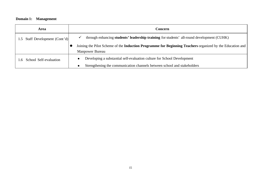### **Domain 1: Management**

| Area                           | Concern                                                                                                                        |  |  |  |
|--------------------------------|--------------------------------------------------------------------------------------------------------------------------------|--|--|--|
| 1.5 Staff Development (Cont'd) | through enhancing students' leadership training for students' all-round development (CUHK)                                     |  |  |  |
|                                | Joining the Pilot Scheme of the Induction Programme for Beginning Teachers organized by the Education and  <br>Manpower Bureau |  |  |  |
| .6 School Self-evaluation      | Developing a substantial self-evaluation culture for School Development<br>$\bullet$                                           |  |  |  |
|                                | Strengthening the communication channels between school and stakeholders<br>$\bullet$                                          |  |  |  |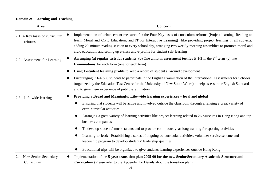**Domain 2: Learning and Teaching**

| Area                                     | Concern                                                                                                                                                                                                                                                                                                                                                                                                                                           |  |  |  |
|------------------------------------------|---------------------------------------------------------------------------------------------------------------------------------------------------------------------------------------------------------------------------------------------------------------------------------------------------------------------------------------------------------------------------------------------------------------------------------------------------|--|--|--|
| 2.1 4 Key tasks of curriculum<br>reforms | Implementation of enhancement measures for the Four Key tasks of curriculum reforms (Project learning, Reading to<br>learn, Moral and Civic Education, and IT for Interactive Learning) like providing project learning in all subjects,<br>adding 20-minute reading session to every school day, arranging two weekly morning assemblies to promote moral and<br>civic education, and setting up e-class and e-profile for student self-learning |  |  |  |
| Assessment for Learning<br>2.2           | Arranging (a) regular tests for students, (b) One uniform assessment test for F.1-3 in the $2nd$ term, (c) two<br><b>Examinations</b> for each form (one for each term)                                                                                                                                                                                                                                                                           |  |  |  |
|                                          | Using E-student learning profile to keep a record of student all-round development                                                                                                                                                                                                                                                                                                                                                                |  |  |  |
|                                          | Encouraging $F.1-4 \& 6$ students to participate in the English Examination of the International Assessments for Schools<br>(organized by the Education Test Centre for the University of New South Wales) to help assess the ir English Standard<br>and to give them experience of public examination                                                                                                                                            |  |  |  |
| Life-wide learning<br>2.3                | Providing a Broad and Meaningful Life-wide learning experiences - local and global<br>$\bullet$                                                                                                                                                                                                                                                                                                                                                   |  |  |  |
|                                          | Ensuring that students will be active and involved outside the classroom through arranging a great variety of<br>extra-curricular activities                                                                                                                                                                                                                                                                                                      |  |  |  |
|                                          | Arranging a great variety of learning activities like project learning related to 26 Museums in Hong Kong and top<br>business companies                                                                                                                                                                                                                                                                                                           |  |  |  |
|                                          | To develop students' music talents and to provide continuous year-long training for sporting activities                                                                                                                                                                                                                                                                                                                                           |  |  |  |
|                                          | Learning to lead: Establishing a series of ongoing co-curricular activities, volunteer service scheme and<br>leadership program to develop students' leadership qualities                                                                                                                                                                                                                                                                         |  |  |  |
|                                          | Educational trips will be organized to give students learning experiences outside Hong Kong                                                                                                                                                                                                                                                                                                                                                       |  |  |  |
| 2.4 New Senior Secondary                 | Implementation of the 5-year transition plan 2005-09 for the new Senior Secondary Academic Structure and<br>$\bullet$                                                                                                                                                                                                                                                                                                                             |  |  |  |
| Curriculum                               | <b>Curriculum</b> (Please refer to the Appendix for Details about the transition plan)                                                                                                                                                                                                                                                                                                                                                            |  |  |  |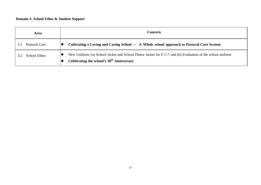#### **Domain 3: School Ethos & Student Support**

| <b>Area</b>          | Concern                                                                                                                                                    |  |  |
|----------------------|------------------------------------------------------------------------------------------------------------------------------------------------------------|--|--|
| Pastoral Care<br>3.1 | Cultivating a Loving and Caring School --- A Whole school approach to Pastoral Care System                                                                 |  |  |
| <b>School Ethos</b>  | New Uniform: (a) School Jacket and School Fleece Jacket for F.1-7; and (b) Evaluation of the school uniform<br>Celebrating the school's $30th$ Anniversary |  |  |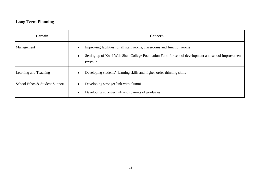### **Long Term Planning**

| <b>Domain</b>                  | Concern                                                                                                                                                                                  |  |  |  |
|--------------------------------|------------------------------------------------------------------------------------------------------------------------------------------------------------------------------------------|--|--|--|
| Management                     | Improving facilities for all staff rooms, classrooms and function rooms<br>Setting up of Kwei Wah Shan College Foundation Fund for school development and school improvement<br>projects |  |  |  |
| Learning and Teaching          | Developing students' learning skills and higher-order thinking skills                                                                                                                    |  |  |  |
| School Ethos & Student Support | Developing stronger link with alumni<br>Developing stronger link with parents of graduates                                                                                               |  |  |  |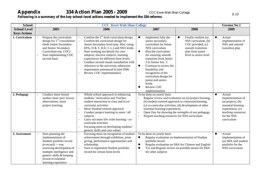## Appendix 334 Action Plan 2005 - 2009 CCC Kwei Wah Shan College

#### **Following is a summary of the key school-level actions needed to implement the 334 reforms**

| School:             | <b>CCC Kwei Wah Shan College</b>                                                                                                                                                                                              |                                                                                                                                                                                                                                                                                                                                                                                                                                                  |                                                                                                                                                                                                                                                                                                                                                                                     | <b>Version No 1</b>                                                                                                                                                    |                                                                                                                                                                |
|---------------------|-------------------------------------------------------------------------------------------------------------------------------------------------------------------------------------------------------------------------------|--------------------------------------------------------------------------------------------------------------------------------------------------------------------------------------------------------------------------------------------------------------------------------------------------------------------------------------------------------------------------------------------------------------------------------------------------|-------------------------------------------------------------------------------------------------------------------------------------------------------------------------------------------------------------------------------------------------------------------------------------------------------------------------------------------------------------------------------------|------------------------------------------------------------------------------------------------------------------------------------------------------------------------|----------------------------------------------------------------------------------------------------------------------------------------------------------------|
| <b>School Level</b> | 2005                                                                                                                                                                                                                          | 2006                                                                                                                                                                                                                                                                                                                                                                                                                                             | 2007                                                                                                                                                                                                                                                                                                                                                                                | 2008                                                                                                                                                                   | 2009                                                                                                                                                           |
| <b>Keys Actions</b> |                                                                                                                                                                                                                               |                                                                                                                                                                                                                                                                                                                                                                                                                                                  |                                                                                                                                                                                                                                                                                                                                                                                     |                                                                                                                                                                        |                                                                                                                                                                |
| 1. Curriculum       | Propose the curriculum<br>design for $1st$ consultation<br>(both Junior Secondary<br>and Senior Secondary<br>Curriculum esp. COC)<br>Start implementing COC<br>on trial basis                                                 | Confirm the $1st$ draft curriculum design<br>Confirm the curriculum design for<br>Junior Secondary level (esp. Hist, Geog,<br>EPA, D & T, H.E, C.L.) and NSS levels<br>Start working out details for core<br>subjects, elective subjects, learning<br>experiences for different form levels<br>Conduct second round consultation with<br>reference to the university admission<br>requirement announced in mid-2006<br>Review COC implementation | Implement fully the<br>$\bullet$<br>junior secondary<br>curriculum for future<br>NSS curriculum<br>Plan the curriculum<br>$\bullet$<br>for ensuring smooth<br>transition from Junior<br>3 to Senior Sec. 1.<br>Continue to review the<br>$\bullet$<br>feasibility and<br>recognition of the<br>curriculum design for<br>junior and senior<br>levels<br>Review COC<br>implementation | Finally confirm (a)<br>$\bullet$<br>NSS curriculum, (b)<br>COC provided, (c)<br>smooth transition<br>plan from junior<br>level to senior level                         | Actual<br>$\bullet$<br>implementation of<br>NSS and smooth<br>transition plan                                                                                  |
| 2. Pedagogy         | Conduct more lesson<br>studies, more peer lesson<br>observations, more<br>project learning;                                                                                                                                   | Whole school approach to enhancing<br>students' motivation and Teacher-<br>student interaction in class and in co-<br>curricular activities<br>More Student-centred approach<br>Conduct project learning in more / all<br>subjects<br>Carry out more life-wide learning / co-<br>curricular activities<br>Focusing more on developing students'<br>generic skills and core values                                                                | To be done on yearly basis<br>(b) student-centred approach to classroom learning,<br>essential learning experiences<br>$\overline{\phantom{0}}$<br>Prepare teaching resources for NSS curriculum<br>$\overline{a}$                                                                                                                                                                  | Regular review and evaluation on (a) project learning,<br>(c) co-curricular activities, (d) development of other<br>Open Day for showing the strengths of our pedagogy | $\bullet$<br>Actual<br>implementation of<br>$(a)$ projects, $(b)$<br>essential learning<br>experiences, (c)<br>teaching resources<br>for the NSS<br>curriculum |
| 3. Assessment       | Start planning the<br>implementation of<br>Student portfolio record<br>(e-record) --- esp.<br>assessing development of<br>multiple intelligence and<br>generic skills & keeping<br>record of essential<br>learning experience | Focusing more on recognition of student<br>achievement through exhibition, prize<br>giving, performance opportunities and<br>scholarship<br>Start to implement Student portfolio<br>record for certain form levels                                                                                                                                                                                                                               | To be done on yearly basis<br>$\bullet$<br>portfolio record<br>$\bullet$<br>$\bullet$<br>for other subjects                                                                                                                                                                                                                                                                         | Regular evaluation on implementation of Student<br>Regular evaluation on SBA for Chinese and English<br>Try and Regular review on possible means for SBA               | Actual<br>$\bullet$<br>implementation of<br>(a) SBA and student<br>portfolio for the<br>NSS curriculum                                                         |